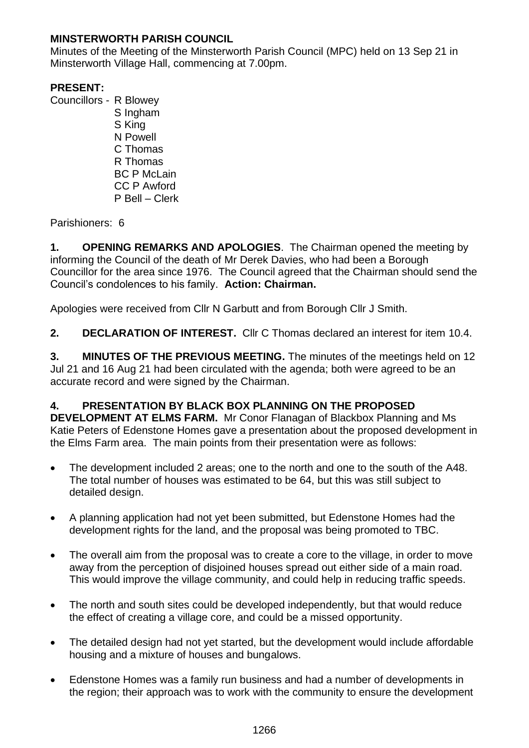## **MINSTERWORTH PARISH COUNCIL**

Minutes of the Meeting of the Minsterworth Parish Council (MPC) held on 13 Sep 21 in Minsterworth Village Hall, commencing at 7.00pm.

# **PRESENT:**

Councillors - R Blowey S Ingham S King N Powell C Thomas R Thomas BC P McLain CC P Awford P Bell – Clerk

Parishioners: 6

**1. OPENING REMARKS AND APOLOGIES**. The Chairman opened the meeting by informing the Council of the death of Mr Derek Davies, who had been a Borough Councillor for the area since 1976. The Council agreed that the Chairman should send the Council's condolences to his family. **Action: Chairman.**

Apologies were received from Cllr N Garbutt and from Borough Cllr J Smith.

**2. DECLARATION OF INTEREST.** Cllr C Thomas declared an interest for item 10.4.

**3. MINUTES OF THE PREVIOUS MEETING.** The minutes of the meetings held on 12 Jul 21 and 16 Aug 21 had been circulated with the agenda; both were agreed to be an accurate record and were signed by the Chairman.

# **4. PRESENTATION BY BLACK BOX PLANNING ON THE PROPOSED**

**DEVELOPMENT AT ELMS FARM.** Mr Conor Flanagan of Blackbox Planning and Ms Katie Peters of Edenstone Homes gave a presentation about the proposed development in the Elms Farm area. The main points from their presentation were as follows:

- The development included 2 areas; one to the north and one to the south of the A48. The total number of houses was estimated to be 64, but this was still subject to detailed design.
- A planning application had not yet been submitted, but Edenstone Homes had the development rights for the land, and the proposal was being promoted to TBC.
- The overall aim from the proposal was to create a core to the village, in order to move away from the perception of disjoined houses spread out either side of a main road. This would improve the village community, and could help in reducing traffic speeds.
- The north and south sites could be developed independently, but that would reduce the effect of creating a village core, and could be a missed opportunity.
- The detailed design had not yet started, but the development would include affordable housing and a mixture of houses and bungalows.
- Edenstone Homes was a family run business and had a number of developments in the region; their approach was to work with the community to ensure the development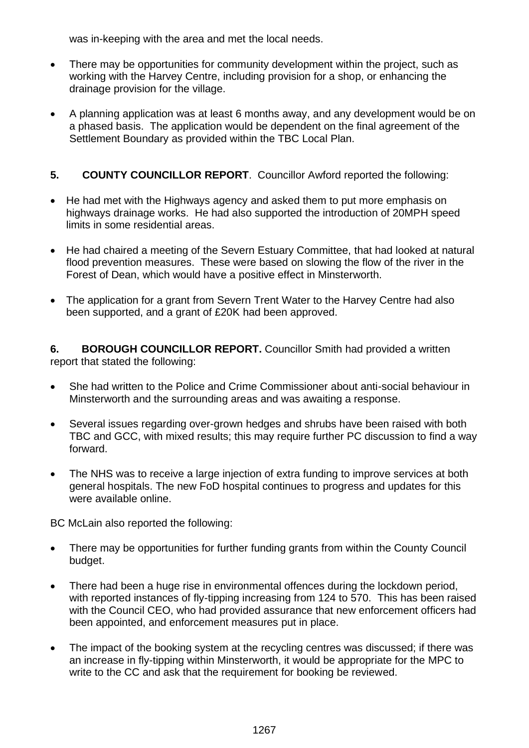was in-keeping with the area and met the local needs.

- There may be opportunities for community development within the project, such as working with the Harvey Centre, including provision for a shop, or enhancing the drainage provision for the village.
- A planning application was at least 6 months away, and any development would be on a phased basis. The application would be dependent on the final agreement of the Settlement Boundary as provided within the TBC Local Plan.

## **5. COUNTY COUNCILLOR REPORT**. Councillor Awford reported the following:

- He had met with the Highways agency and asked them to put more emphasis on highways drainage works. He had also supported the introduction of 20MPH speed limits in some residential areas.
- He had chaired a meeting of the Severn Estuary Committee, that had looked at natural flood prevention measures. These were based on slowing the flow of the river in the Forest of Dean, which would have a positive effect in Minsterworth.
- The application for a grant from Severn Trent Water to the Harvey Centre had also been supported, and a grant of £20K had been approved.

**6. BOROUGH COUNCILLOR REPORT.** Councillor Smith had provided a written report that stated the following:

- She had written to the Police and Crime Commissioner about anti-social behaviour in Minsterworth and the surrounding areas and was awaiting a response.
- Several issues regarding over-grown hedges and shrubs have been raised with both TBC and GCC, with mixed results; this may require further PC discussion to find a way forward.
- The NHS was to receive a large injection of extra funding to improve services at both general hospitals. The new FoD hospital continues to progress and updates for this were available online.

BC McLain also reported the following:

- There may be opportunities for further funding grants from within the County Council budget.
- There had been a huge rise in environmental offences during the lockdown period, with reported instances of fly-tipping increasing from 124 to 570. This has been raised with the Council CEO, who had provided assurance that new enforcement officers had been appointed, and enforcement measures put in place.
- The impact of the booking system at the recycling centres was discussed; if there was an increase in fly-tipping within Minsterworth, it would be appropriate for the MPC to write to the CC and ask that the requirement for booking be reviewed.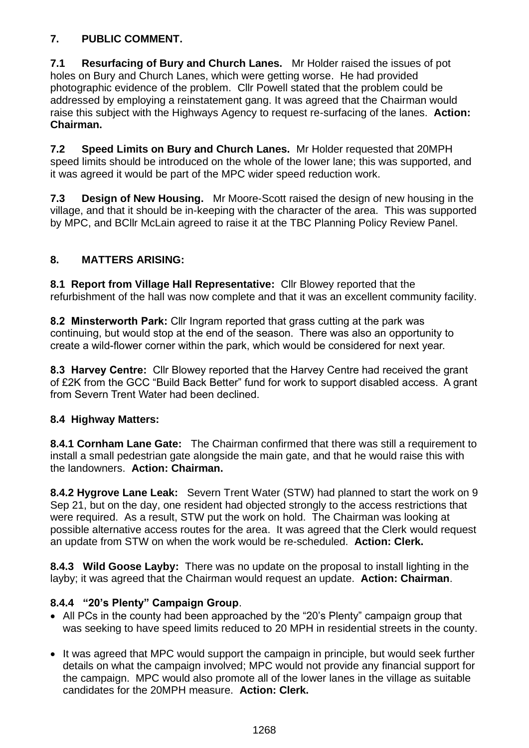# **7. PUBLIC COMMENT.**

**7.1 Resurfacing of Bury and Church Lanes.** Mr Holder raised the issues of pot holes on Bury and Church Lanes, which were getting worse. He had provided photographic evidence of the problem. Cllr Powell stated that the problem could be addressed by employing a reinstatement gang. It was agreed that the Chairman would raise this subject with the Highways Agency to request re-surfacing of the lanes. **Action: Chairman.**

**7.2 Speed Limits on Bury and Church Lanes.** Mr Holder requested that 20MPH speed limits should be introduced on the whole of the lower lane; this was supported, and it was agreed it would be part of the MPC wider speed reduction work.

**7.3 Design of New Housing.** Mr Moore-Scott raised the design of new housing in the village, and that it should be in-keeping with the character of the area. This was supported by MPC, and BCllr McLain agreed to raise it at the TBC Planning Policy Review Panel.

## **8. MATTERS ARISING:**

**8.1 Report from Village Hall Representative:** Cllr Blowey reported that the refurbishment of the hall was now complete and that it was an excellent community facility.

**8.2 Minsterworth Park:** Cllr Ingram reported that grass cutting at the park was continuing, but would stop at the end of the season. There was also an opportunity to create a wild-flower corner within the park, which would be considered for next year.

**8.3 Harvey Centre:** Cllr Blowey reported that the Harvey Centre had received the grant of £2K from the GCC "Build Back Better" fund for work to support disabled access. A grant from Severn Trent Water had been declined.

## **8.4 Highway Matters:**

**8.4.1 Cornham Lane Gate:** The Chairman confirmed that there was still a requirement to install a small pedestrian gate alongside the main gate, and that he would raise this with the landowners. **Action: Chairman.** 

**8.4.2 Hygrove Lane Leak:** Severn Trent Water (STW) had planned to start the work on 9 Sep 21, but on the day, one resident had objected strongly to the access restrictions that were required. As a result, STW put the work on hold. The Chairman was looking at possible alternative access routes for the area. It was agreed that the Clerk would request an update from STW on when the work would be re-scheduled. **Action: Clerk.**

**8.4.3 Wild Goose Layby:** There was no update on the proposal to install lighting in the layby; it was agreed that the Chairman would request an update. **Action: Chairman**.

## **8.4.4 "20's Plenty" Campaign Group**.

- All PCs in the county had been approached by the "20's Plenty" campaign group that was seeking to have speed limits reduced to 20 MPH in residential streets in the county.
- It was agreed that MPC would support the campaign in principle, but would seek further details on what the campaign involved; MPC would not provide any financial support for the campaign. MPC would also promote all of the lower lanes in the village as suitable candidates for the 20MPH measure. **Action: Clerk.**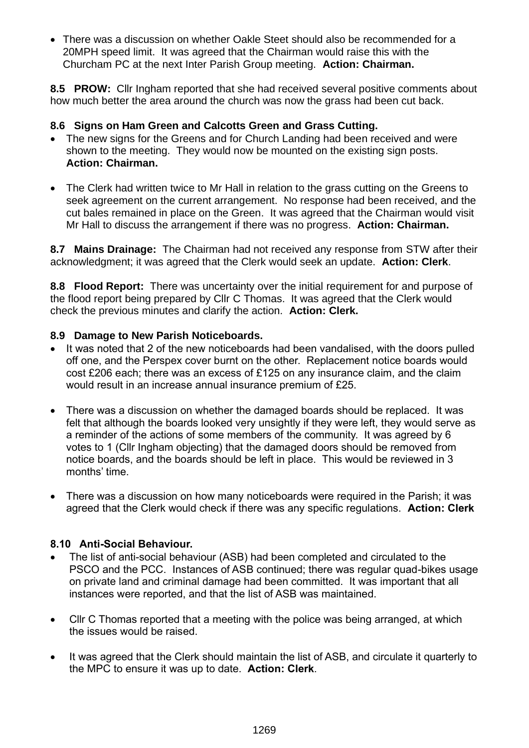• There was a discussion on whether Oakle Steet should also be recommended for a 20MPH speed limit. It was agreed that the Chairman would raise this with the Churcham PC at the next Inter Parish Group meeting. **Action: Chairman.**

**8.5 PROW:** Cllr Ingham reported that she had received several positive comments about how much better the area around the church was now the grass had been cut back.

## **8.6 Signs on Ham Green and Calcotts Green and Grass Cutting.**

- The new signs for the Greens and for Church Landing had been received and were shown to the meeting. They would now be mounted on the existing sign posts. **Action: Chairman.**
- The Clerk had written twice to Mr Hall in relation to the grass cutting on the Greens to seek agreement on the current arrangement. No response had been received, and the cut bales remained in place on the Green. It was agreed that the Chairman would visit Mr Hall to discuss the arrangement if there was no progress. **Action: Chairman.**

**8.7 Mains Drainage:** The Chairman had not received any response from STW after their acknowledgment; it was agreed that the Clerk would seek an update. **Action: Clerk**.

**8.8 Flood Report:** There was uncertainty over the initial requirement for and purpose of the flood report being prepared by Cllr C Thomas. It was agreed that the Clerk would check the previous minutes and clarify the action. **Action: Clerk.**

#### **8.9 Damage to New Parish Noticeboards.**

- It was noted that 2 of the new noticeboards had been vandalised, with the doors pulled off one, and the Perspex cover burnt on the other. Replacement notice boards would cost £206 each; there was an excess of £125 on any insurance claim, and the claim would result in an increase annual insurance premium of £25.
- There was a discussion on whether the damaged boards should be replaced. It was felt that although the boards looked very unsightly if they were left, they would serve as a reminder of the actions of some members of the community. It was agreed by 6 votes to 1 (Cllr Ingham objecting) that the damaged doors should be removed from notice boards, and the boards should be left in place. This would be reviewed in 3 months' time.
- There was a discussion on how many noticeboards were required in the Parish; it was agreed that the Clerk would check if there was any specific regulations. **Action: Clerk**

## **8.10 Anti-Social Behaviour.**

- The list of anti-social behaviour (ASB) had been completed and circulated to the PSCO and the PCC. Instances of ASB continued; there was regular quad-bikes usage on private land and criminal damage had been committed. It was important that all instances were reported, and that the list of ASB was maintained.
- Cllr C Thomas reported that a meeting with the police was being arranged, at which the issues would be raised.
- It was agreed that the Clerk should maintain the list of ASB, and circulate it quarterly to the MPC to ensure it was up to date. **Action: Clerk**.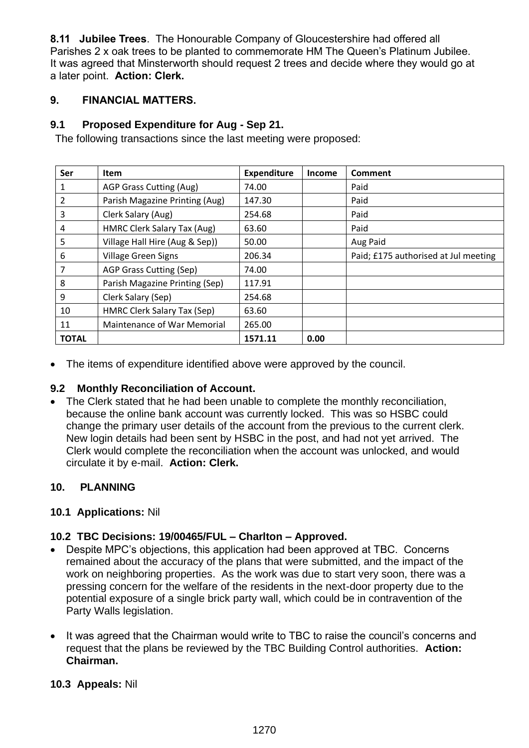**8.11 Jubilee Trees**. The Honourable Company of Gloucestershire had offered all Parishes 2 x oak trees to be planted to commemorate HM The Queen's Platinum Jubilee. It was agreed that Minsterworth should request 2 trees and decide where they would go at a later point. **Action: Clerk.**

## **9. FINANCIAL MATTERS.**

## **9.1 Proposed Expenditure for Aug - Sep 21.**

The following transactions since the last meeting were proposed:

| Ser            | <b>Item</b>                    | <b>Expenditure</b> | <b>Income</b> | Comment                              |
|----------------|--------------------------------|--------------------|---------------|--------------------------------------|
| 1              | AGP Grass Cutting (Aug)        | 74.00              |               | Paid                                 |
| $\overline{2}$ | Parish Magazine Printing (Aug) | 147.30             |               | Paid                                 |
| 3              | Clerk Salary (Aug)             | 254.68             |               | Paid                                 |
| 4              | HMRC Clerk Salary Tax (Aug)    | 63.60              |               | Paid                                 |
| 5              | Village Hall Hire (Aug & Sep)) | 50.00              |               | Aug Paid                             |
| 6              | <b>Village Green Signs</b>     | 206.34             |               | Paid; £175 authorised at Jul meeting |
| 7              | AGP Grass Cutting (Sep)        | 74.00              |               |                                      |
| 8              | Parish Magazine Printing (Sep) | 117.91             |               |                                      |
| 9              | Clerk Salary (Sep)             | 254.68             |               |                                      |
| 10             | HMRC Clerk Salary Tax (Sep)    | 63.60              |               |                                      |
| 11             | Maintenance of War Memorial    | 265.00             |               |                                      |
| <b>TOTAL</b>   |                                | 1571.11            | 0.00          |                                      |

• The items of expenditure identified above were approved by the council.

## **9.2 Monthly Reconciliation of Account.**

• The Clerk stated that he had been unable to complete the monthly reconciliation, because the online bank account was currently locked. This was so HSBC could change the primary user details of the account from the previous to the current clerk. New login details had been sent by HSBC in the post, and had not yet arrived. The Clerk would complete the reconciliation when the account was unlocked, and would circulate it by e-mail. **Action: Clerk.**

## **10. PLANNING**

#### **10.1 Applications:** Nil

## **10.2 TBC Decisions: 19/00465/FUL – Charlton – Approved.**

- Despite MPC's objections, this application had been approved at TBC. Concerns remained about the accuracy of the plans that were submitted, and the impact of the work on neighboring properties. As the work was due to start very soon, there was a pressing concern for the welfare of the residents in the next-door property due to the potential exposure of a single brick party wall, which could be in contravention of the Party Walls legislation.
- It was agreed that the Chairman would write to TBC to raise the council's concerns and request that the plans be reviewed by the TBC Building Control authorities. **Action: Chairman.**

#### **10.3 Appeals:** Nil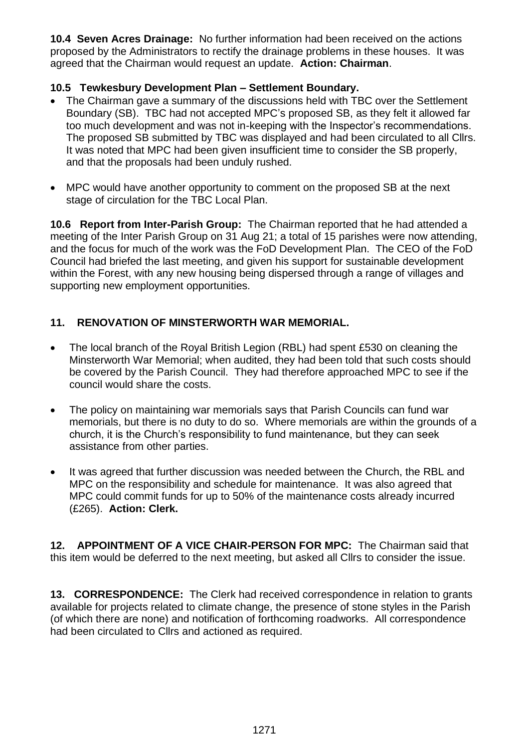**10.4 Seven Acres Drainage:** No further information had been received on the actions proposed by the Administrators to rectify the drainage problems in these houses. It was agreed that the Chairman would request an update. **Action: Chairman**.

## **10.5 Tewkesbury Development Plan – Settlement Boundary.**

- The Chairman gave a summary of the discussions held with TBC over the Settlement Boundary (SB). TBC had not accepted MPC's proposed SB, as they felt it allowed far too much development and was not in-keeping with the Inspector's recommendations. The proposed SB submitted by TBC was displayed and had been circulated to all Cllrs. It was noted that MPC had been given insufficient time to consider the SB properly. and that the proposals had been unduly rushed.
- MPC would have another opportunity to comment on the proposed SB at the next stage of circulation for the TBC Local Plan.

**10.6 Report from Inter-Parish Group:** The Chairman reported that he had attended a meeting of the Inter Parish Group on 31 Aug 21; a total of 15 parishes were now attending, and the focus for much of the work was the FoD Development Plan. The CEO of the FoD Council had briefed the last meeting, and given his support for sustainable development within the Forest, with any new housing being dispersed through a range of villages and supporting new employment opportunities.

# **11. RENOVATION OF MINSTERWORTH WAR MEMORIAL.**

- The local branch of the Royal British Legion (RBL) had spent £530 on cleaning the Minsterworth War Memorial; when audited, they had been told that such costs should be covered by the Parish Council. They had therefore approached MPC to see if the council would share the costs.
- The policy on maintaining war memorials says that Parish Councils can fund war memorials, but there is no duty to do so. Where memorials are within the grounds of a church, it is the Church's responsibility to fund maintenance, but they can seek assistance from other parties.
- It was agreed that further discussion was needed between the Church, the RBL and MPC on the responsibility and schedule for maintenance. It was also agreed that MPC could commit funds for up to 50% of the maintenance costs already incurred (£265). **Action: Clerk.**

**12. APPOINTMENT OF A VICE CHAIR-PERSON FOR MPC:** The Chairman said that this item would be deferred to the next meeting, but asked all Cllrs to consider the issue.

**13. CORRESPONDENCE:** The Clerk had received correspondence in relation to grants available for projects related to climate change, the presence of stone styles in the Parish (of which there are none) and notification of forthcoming roadworks. All correspondence had been circulated to Cllrs and actioned as required.